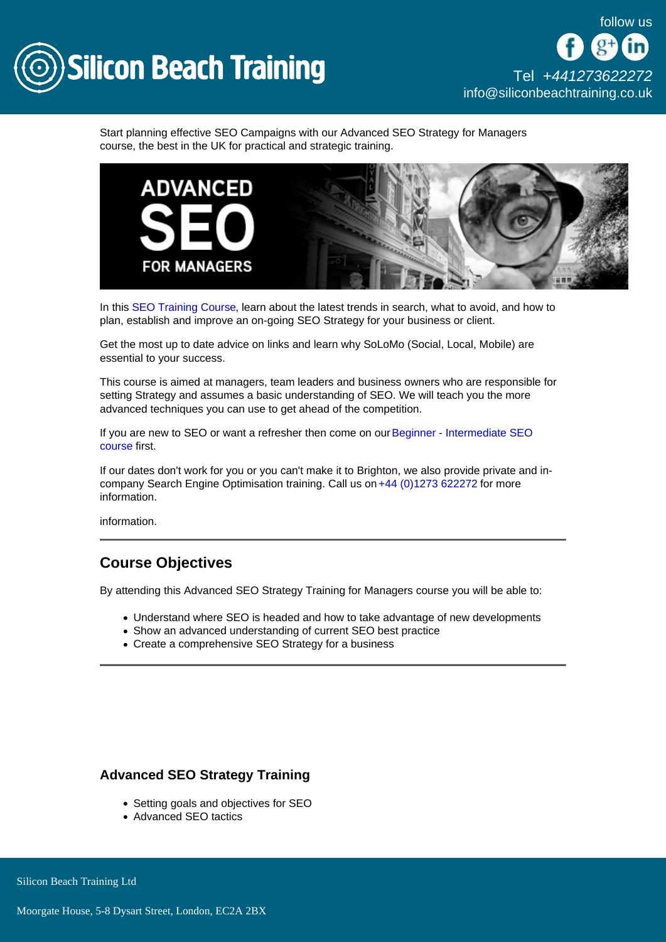

Start planning effective SEO Campaigns with our Advanced SEO Strategy for Managers course, the best in the UK for practical and strategic training.

In this [SEO Training Course,](/seo) learn about the latest trends in search, what to avoid, and how to plan, establish and improve an on-going SEO Strategy for your business or client.

Get the most up to date advice on links and learn why SoLoMo (Social, Local, Mobile) are essential to your success.

This course is aimed at managers, team leaders and business owners who are responsible for setting Strategy and assumes a basic understanding of SEO. We will teach you the more advanced techniques you can use to get ahead of the competition.

If you are new to SEO or want a refresher then come on our [Beginner - Intermediate SEO](/seo/seo-training)  [course](/seo/seo-training) first.

If our dates don't work for you or you can't make it to Brighton, we also provide private and incompany Search Engine Optimisation training. Call us on [+44 \(0\)1273 622272](tel:441273622272) for more information.

information.

# Course Objectives

By attending this Advanced SEO Strategy Training for Managers course you will be able to:

- Understand where SEO is headed and how to take advantage of new developments
- Show an advanced understanding of current SEO best practice
- Create a comprehensive SEO Strategy for a business

#### Advanced SEO Strategy Training

- Setting goals and objectives for SEO
- Advanced SEO tactics

Silicon Beach Training Ltd